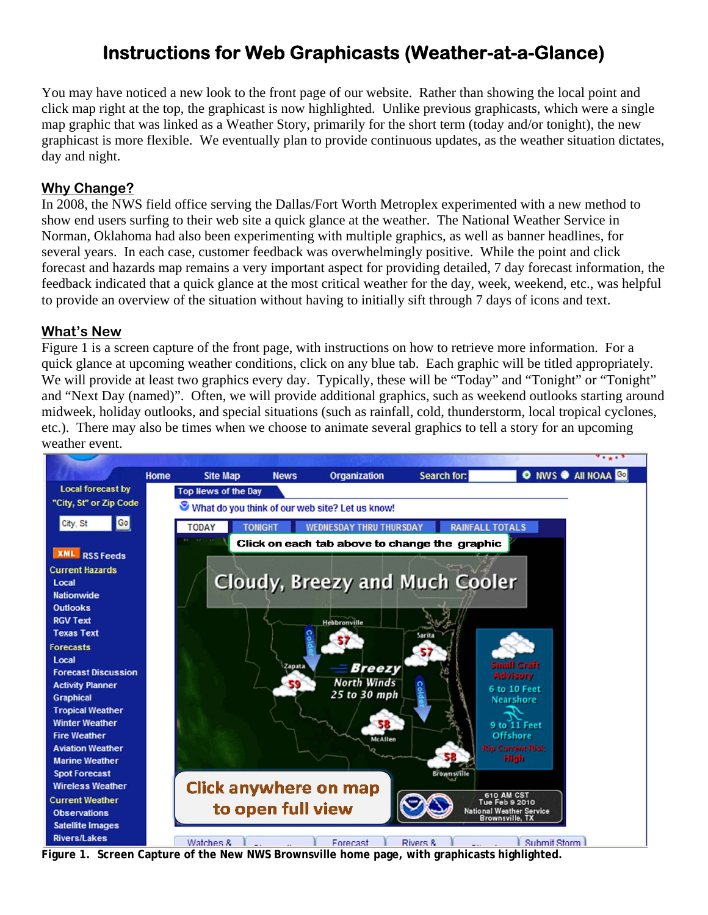# **Instructions for Web Graphicasts (Weather-at-a-Glance)**

You may have noticed a new look to the front page of our website. Rather than showing the local point and click map right at the top, the graphicast is now highlighted. Unlike previous graphicasts, which were a single map graphic that was linked as a Weather Story, primarily for the short term (today and/or tonight), the new graphicast is more flexible. We eventually plan to provide continuous updates, as the weather situation dictates, day and night.

### **Why Change?**

In 2008, the NWS field office serving the Dallas/Fort Worth Metroplex experimented with a new method to show end users surfing to their web site a quick glance at the weather. The National Weather Service in Norman, Oklahoma had also been experimenting with multiple graphics, as well as banner headlines, for several years. In each case, customer feedback was overwhelmingly positive. While the point and click forecast and hazards map remains a very important aspect for providing detailed, 7 day forecast information, the feedback indicated that a quick glance at the most critical weather for the day, week, weekend, etc., was helpful to provide an overview of the situation without having to initially sift through 7 days of icons and text.

#### **What's New**

Figure 1 is a screen capture of the front page, with instructions on how to retrieve more information. For a quick glance at upcoming weather conditions, click on any blue tab. Each graphic will be titled appropriately. We will provide at least two graphics every day. Typically, these will be "Today" and "Tonight" or "Tonight" and "Next Day (named)". Often, we will provide additional graphics, such as weekend outlooks starting around midweek, holiday outlooks, and special situations (such as rainfall, cold, thunderstorm, local tropical cyclones, etc.). There may also be times when we choose to animate several graphics to tell a story for an upcoming weather event.



**Figure 1. Screen Capture of the New NWS Brownsville home page, with graphicasts highlighted.**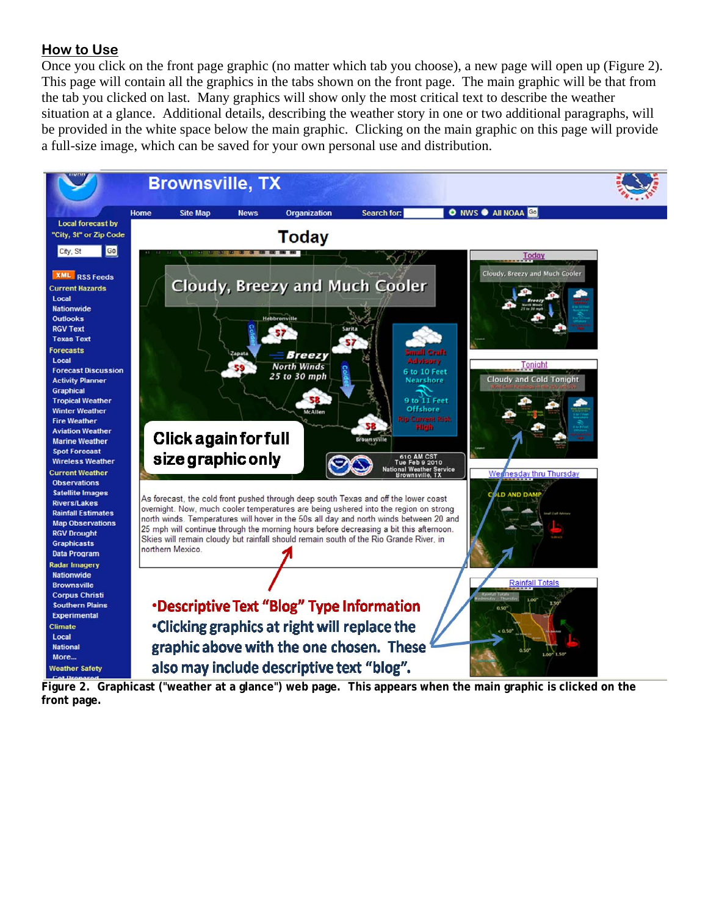#### **How to Use**

Once you click on the front page graphic (no matter which tab you choose), a new page will open up (Figure 2). This page will contain all the graphics in the tabs shown on the front page. The main graphic will be that from the tab you clicked on last. Many graphics will show only the most critical text to describe the weather situation at a glance. Additional details, describing the weather story in one or two additional paragraphs, will be provided in the white space below the main graphic. Clicking on the main graphic on this page will provide a full-size image, which can be saved for your own personal use and distribution.



**Figure 2. Graphicast ("weather at a glance") web page. This appears when the main graphic is clicked on the front page.**